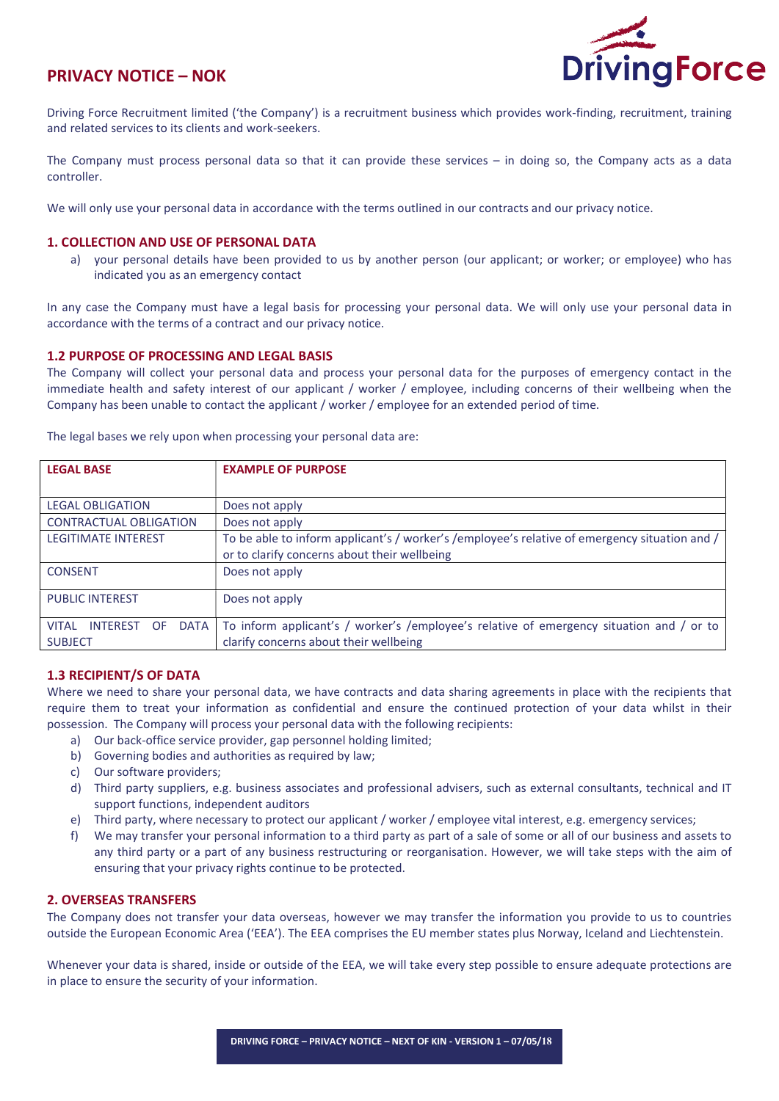# PRIVACY NOTICE – NOK



Driving Force Recruitment limited ('the Company') is a recruitment business which provides work-finding, recruitment, training and related services to its clients and work-seekers.

The Company must process personal data so that it can provide these services – in doing so, the Company acts as a data controller.

We will only use your personal data in accordance with the terms outlined in our contracts and our privacy notice.

#### 1. COLLECTION AND USE OF PERSONAL DATA

a) your personal details have been provided to us by another person (our applicant; or worker; or employee) who has indicated you as an emergency contact

In any case the Company must have a legal basis for processing your personal data. We will only use your personal data in accordance with the terms of a contract and our privacy notice.

#### 1.2 PURPOSE OF PROCESSING AND LEGAL BASIS

The Company will collect your personal data and process your personal data for the purposes of emergency contact in the immediate health and safety interest of our applicant / worker / employee, including concerns of their wellbeing when the Company has been unable to contact the applicant / worker / employee for an extended period of time.

| <b>LEGAL BASE</b>                                                       | <b>EXAMPLE OF PURPOSE</b>                                                                                                                     |
|-------------------------------------------------------------------------|-----------------------------------------------------------------------------------------------------------------------------------------------|
| <b>LEGAL OBLIGATION</b>                                                 | Does not apply                                                                                                                                |
| <b>CONTRACTUAL OBLIGATION</b>                                           | Does not apply                                                                                                                                |
| <b>LEGITIMATE INTEREST</b>                                              | To be able to inform applicant's / worker's /employee's relative of emergency situation and /<br>or to clarify concerns about their wellbeing |
| <b>CONSENT</b>                                                          | Does not apply                                                                                                                                |
| <b>PUBLIC INTEREST</b>                                                  | Does not apply                                                                                                                                |
| <b>DATA</b><br><b>VITAI</b><br><b>INTEREST</b><br>OF.<br><b>SUBJECT</b> | To inform applicant's / worker's /employee's relative of emergency situation and / or to<br>clarify concerns about their wellbeing            |

The legal bases we rely upon when processing your personal data are:

# 1.3 RECIPIENT/S OF DATA

Where we need to share your personal data, we have contracts and data sharing agreements in place with the recipients that require them to treat your information as confidential and ensure the continued protection of your data whilst in their possession. The Company will process your personal data with the following recipients:

- a) Our back-office service provider, gap personnel holding limited;
- b) Governing bodies and authorities as required by law;
- c) Our software providers;
- d) Third party suppliers, e.g. business associates and professional advisers, such as external consultants, technical and IT support functions, independent auditors
- e) Third party, where necessary to protect our applicant / worker / employee vital interest, e.g. emergency services;
- f) We may transfer your personal information to a third party as part of a sale of some or all of our business and assets to any third party or a part of any business restructuring or reorganisation. However, we will take steps with the aim of ensuring that your privacy rights continue to be protected.

#### 2. OVERSEAS TRANSFERS

The Company does not transfer your data overseas, however we may transfer the information you provide to us to countries outside the European Economic Area ('EEA'). The EEA comprises the EU member states plus Norway, Iceland and Liechtenstein.

Whenever your data is shared, inside or outside of the EEA, we will take every step possible to ensure adequate protections are in place to ensure the security of your information.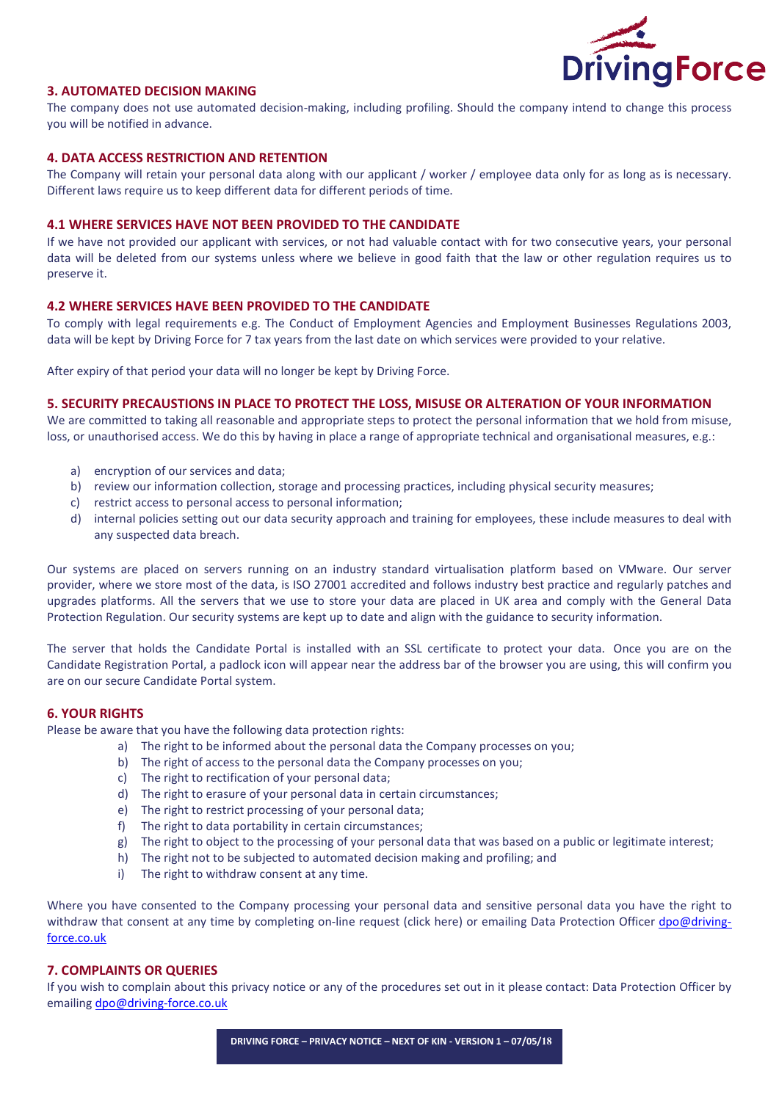

# 3. AUTOMATED DECISION MAKING

The company does not use automated decision-making, including profiling. Should the company intend to change this process you will be notified in advance.

# 4. DATA ACCESS RESTRICTION AND RETENTION

The Company will retain your personal data along with our applicant / worker / employee data only for as long as is necessary. Different laws require us to keep different data for different periods of time.

#### 4.1 WHERE SERVICES HAVE NOT BEEN PROVIDED TO THE CANDIDATE

If we have not provided our applicant with services, or not had valuable contact with for two consecutive years, your personal data will be deleted from our systems unless where we believe in good faith that the law or other regulation requires us to preserve it.

#### 4.2 WHERE SERVICES HAVE BEEN PROVIDED TO THE CANDIDATE

To comply with legal requirements e.g. The Conduct of Employment Agencies and Employment Businesses Regulations 2003, data will be kept by Driving Force for 7 tax years from the last date on which services were provided to your relative.

After expiry of that period your data will no longer be kept by Driving Force.

#### 5. SECURITY PRECAUSTIONS IN PLACE TO PROTECT THE LOSS, MISUSE OR ALTERATION OF YOUR INFORMATION

We are committed to taking all reasonable and appropriate steps to protect the personal information that we hold from misuse, loss, or unauthorised access. We do this by having in place a range of appropriate technical and organisational measures, e.g.:

- a) encryption of our services and data;
- b) review our information collection, storage and processing practices, including physical security measures;
- c) restrict access to personal access to personal information;
- d) internal policies setting out our data security approach and training for employees, these include measures to deal with any suspected data breach.

Our systems are placed on servers running on an industry standard virtualisation platform based on VMware. Our server provider, where we store most of the data, is ISO 27001 accredited and follows industry best practice and regularly patches and upgrades platforms. All the servers that we use to store your data are placed in UK area and comply with the General Data Protection Regulation. Our security systems are kept up to date and align with the guidance to security information.

The server that holds the Candidate Portal is installed with an SSL certificate to protect your data. Once you are on the Candidate Registration Portal, a padlock icon will appear near the address bar of the browser you are using, this will confirm you are on our secure Candidate Portal system.

# 6. YOUR RIGHTS

Please be aware that you have the following data protection rights:

- a) The right to be informed about the personal data the Company processes on you;
- b) The right of access to the personal data the Company processes on you;
- c) The right to rectification of your personal data;
- d) The right to erasure of your personal data in certain circumstances;
- e) The right to restrict processing of your personal data;
- f) The right to data portability in certain circumstances;
- g) The right to object to the processing of your personal data that was based on a public or legitimate interest;
- h) The right not to be subjected to automated decision making and profiling; and
- i) The right to withdraw consent at any time.

Where you have consented to the Company processing your personal data and sensitive personal data you have the right to withdraw that consent at any time by completing on-line request (click here) or emailing Data Protection Officer dpo@drivingforce.co.uk

# 7. COMPLAINTS OR QUERIES

If you wish to complain about this privacy notice or any of the procedures set out in it please contact: Data Protection Officer by emailing dpo@driving-force.co.uk

DRIVING FORCE – PRIVACY NOTICE – NEXT OF KIN - VERSION 1 – 07/05/18